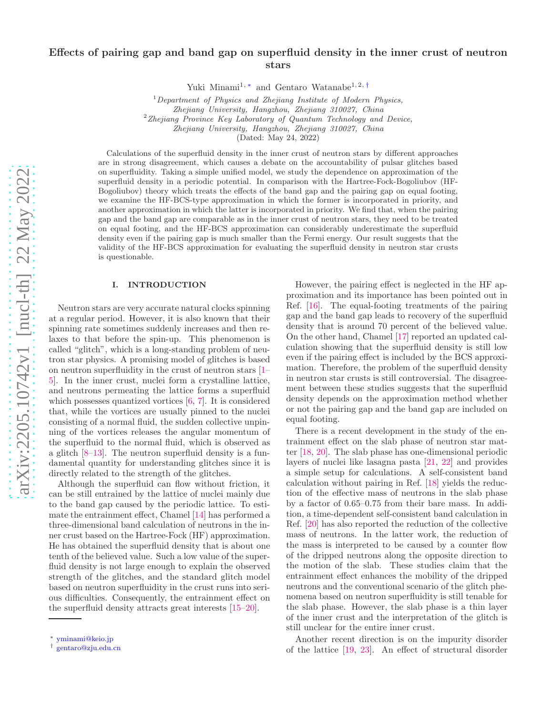# Effects of pairing gap and band gap on superfluid density in the inner crust of neutron stars

Yuki Minami<sup>1,\*</sup> and Gentaro Watanabe<sup>1,2,[†](#page-0-1)</sup>

<sup>1</sup>*Department of Physics and Zhejiang Institute of Modern Physics,*

*Zhejiang University, Hangzhou, Zhejiang 310027, China*

<sup>2</sup>*Zhejiang Province Key Laboratory of Quantum Technology and Device,*

*Zhejiang University, Hangzhou, Zhejiang 310027, China*

(Dated: May 24, 2022)

Calculations of the superfluid density in the inner crust of neutron stars by different approaches are in strong disagreement, which causes a debate on the accountability of pulsar glitches based on superfluidity. Taking a simple unified model, we study the dependence on approximation of the superfluid density in a periodic potential. In comparison with the Hartree-Fock-Bogoliubov (HF-Bogoliubov) theory which treats the effects of the band gap and the pairing gap on equal footing, we examine the HF-BCS-type approximation in which the former is incorporated in priority, and another approximation in which the latter is incorporated in priority. We find that, when the pairing gap and the band gap are comparable as in the inner crust of neutron stars, they need to be treated on equal footing, and the HF-BCS approximation can considerably underestimate the superfluid density even if the pairing gap is much smaller than the Fermi energy. Our result suggests that the validity of the HF-BCS approximation for evaluating the superfluid density in neutron star crusts is questionable.

# I. INTRODUCTION

Neutron stars are very accurate natural clocks spinning at a regular period. However, it is also known that their spinning rate sometimes suddenly increases and then relaxes to that before the spin-up. This phenomenon is called "glitch", which is a long-standing problem of neutron star physics. A promising model of glitches is based on neutron superfluidity in the crust of neutron stars [\[1](#page-6-0)– [5](#page-6-1)]. In the inner crust, nuclei form a crystalline lattice, and neutrons permeating the lattice forms a superfluid which possesses quantized vortices [\[6](#page-6-2), [7\]](#page-6-3). It is considered that, while the vortices are usually pinned to the nuclei consisting of a normal fluid, the sudden collective unpinning of the vortices releases the angular momentum of the superfluid to the normal fluid, which is observed as a glitch [\[8](#page-6-4)[–13\]](#page-6-5). The neutron superfluid density is a fundamental quantity for understanding glitches since it is directly related to the strength of the glitches.

Although the superfluid can flow without friction, it can be still entrained by the lattice of nuclei mainly due to the band gap caused by the periodic lattice. To estimate the entrainment effect, Chamel [\[14\]](#page-7-0) has performed a three-dimensional band calculation of neutrons in the inner crust based on the Hartree-Fock (HF) approximation. He has obtained the superfluid density that is about one tenth of the believed value. Such a low value of the superfluid density is not large enough to explain the observed strength of the glitches, and the standard glitch model based on neutron superfluidity in the crust runs into serious difficulties. Consequently, the entrainment effect on the superfluid density attracts great interests [\[15](#page-7-1)[–20\]](#page-7-2).

However, the pairing effect is neglected in the HF approximation and its importance has been pointed out in Ref. [\[16\]](#page-7-3). The equal-footing treatments of the pairing gap and the band gap leads to recovery of the superfluid density that is around 70 percent of the believed value. On the other hand, Chamel [\[17](#page-7-4)] reported an updated calculation showing that the superfluid density is still low even if the pairing effect is included by the BCS approximation. Therefore, the problem of the superfluid density in neutron star crusts is still controversial. The disagreement between these studies suggests that the superfluid density depends on the approximation method whether or not the pairing gap and the band gap are included on equal footing.

There is a recent development in the study of the entrainment effect on the slab phase of neutron star matter [\[18,](#page-7-5) [20](#page-7-2)]. The slab phase has one-dimensional periodic layers of nuclei like lasagna pasta [\[21](#page-7-6), [22](#page-7-7)] and provides a simple setup for calculations. A self-consistent band calculation without pairing in Ref. [\[18\]](#page-7-5) yields the reduction of the effective mass of neutrons in the slab phase by a factor of 0.65–0.75 from their bare mass. In addition, a time-dependent self-consistent band calculation in Ref. [\[20\]](#page-7-2) has also reported the reduction of the collective mass of neutrons. In the latter work, the reduction of the mass is interpreted to be caused by a counter flow of the dripped neutrons along the opposite direction to the motion of the slab. These studies claim that the entrainment effect enhances the mobility of the dripped neutrons and the conventional scenario of the glitch phenomena based on neutron superfluidity is still tenable for the slab phase. However, the slab phase is a thin layer of the inner crust and the interpretation of the glitch is still unclear for the entire inner crust.

Another recent direction is on the impurity disorder of the lattice [\[19](#page-7-8), [23](#page-7-9)]. An effect of structural disorder

<span id="page-0-0"></span><sup>∗</sup> [yminami@keio.jp](mailto:yminami@keio.jp)

<span id="page-0-1"></span><sup>†</sup> [gentaro@zju.edu.cn](mailto:gentaro@zju.edu.cn)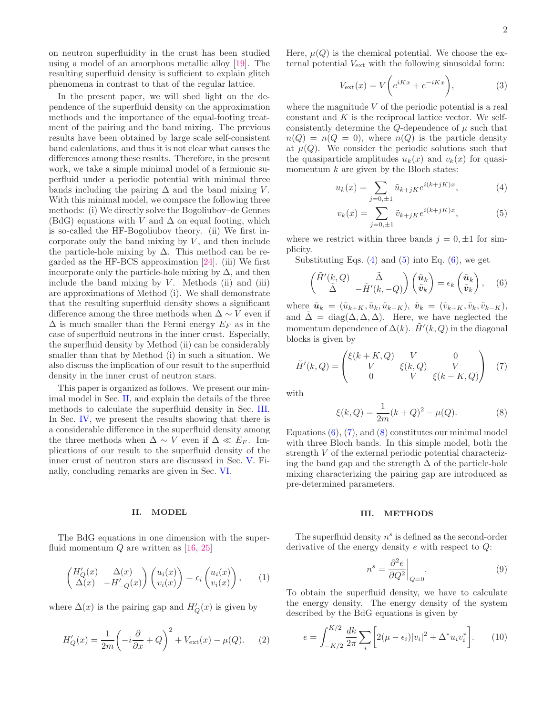on neutron superfluidity in the crust has been studied using a model of an amorphous metallic alloy [\[19\]](#page-7-8). The resulting superfluid density is sufficient to explain glitch phenomena in contrast to that of the regular lattice.

In the present paper, we will shed light on the dependence of the superfluid density on the approximation methods and the importance of the equal-footing treatment of the pairing and the band mixing. The previous results have been obtained by large scale self-consistent band calculations, and thus it is not clear what causes the differences among these results. Therefore, in the present work, we take a simple minimal model of a fermionic superfluid under a periodic potential with minimal three bands including the pairing  $\Delta$  and the band mixing V. With this minimal model, we compare the following three methods: (i) We directly solve the Bogoliubov–de Gennes (BdG) equations with V and  $\Delta$  on equal footing, which is so-called the HF-Bogoliubov theory. (ii) We first incorporate only the band mixing by  $V$ , and then include the particle-hole mixing by  $\Delta$ . This method can be regarded as the HF-BCS approximation [\[24\]](#page-7-10). (iii) We first incorporate only the particle-hole mixing by  $\Delta$ , and then include the band mixing by  $V$ . Methods (ii) and (iii) are approximations of Method (i). We shall demonstrate that the resulting superfluid density shows a significant difference among the three methods when  $\Delta \sim V$  even if  $\Delta$  is much smaller than the Fermi energy  $E_F$  as in the case of superfluid neutrons in the inner crust. Especially, the superfluid density by Method (ii) can be considerably smaller than that by Method (i) in such a situation. We also discuss the implication of our result to the superfluid density in the inner crust of neutron stars.

This paper is organized as follows. We present our minimal model in Sec. [II,](#page-1-0) and explain the details of the three methods to calculate the superfluid density in Sec. [III.](#page-1-1) In Sec. [IV,](#page-3-0) we present the results showing that there is a considerable difference in the superfluid density among the three methods when  $\Delta \sim V$  even if  $\Delta \ll E_F$ . Implications of our result to the superfluid density of the inner crust of neutron stars are discussed in Sec. [V.](#page-4-0) Finally, concluding remarks are given in Sec. [VI.](#page-5-0)

### <span id="page-1-0"></span>II. MODEL

The BdG equations in one dimension with the superfluid momentum  $Q$  are written as [\[16,](#page-7-3) [25\]](#page-7-11)

$$
\begin{pmatrix} H'_Q(x) & \Delta(x) \\ \Delta(x) & -H'_{-Q}(x) \end{pmatrix} \begin{pmatrix} u_i(x) \\ v_i(x) \end{pmatrix} = \epsilon_i \begin{pmatrix} u_i(x) \\ v_i(x) \end{pmatrix}, \qquad (1)
$$

where  $\Delta(x)$  is the pairing gap and  $H'_{Q}(x)$  is given by

$$
H'_Q(x) = \frac{1}{2m} \left( -i\frac{\partial}{\partial x} + Q \right)^2 + V_{\text{ext}}(x) - \mu(Q). \tag{2}
$$

Here,  $\mu(Q)$  is the chemical potential. We choose the external potential  $V_{\text{ext}}$  with the following sinusoidal form:

$$
V_{\text{ext}}(x) = V\bigg(e^{iKx} + e^{-iKx}\bigg),\tag{3}
$$

where the magnitude  $V$  of the periodic potential is a real constant and  $K$  is the reciprocal lattice vector. We selfconsistently determine the Q-dependence of  $\mu$  such that  $n(Q) = n(Q = 0)$ , where  $n(Q)$  is the particle density at  $\mu(Q)$ . We consider the periodic solutions such that the quasiparticle amplitudes  $u_k(x)$  and  $v_k(x)$  for quasimomentum  $k$  are given by the Bloch states:

<span id="page-1-2"></span>
$$
u_k(x) = \sum_{j=0,\pm 1} \tilde{u}_{k+jK} e^{i(k+jK)x}, \qquad (4)
$$

<span id="page-1-4"></span><span id="page-1-3"></span>
$$
v_k(x) = \sum_{j=0,\pm 1} \tilde{v}_{k+jK} e^{i(k+jK)x},\tag{5}
$$

where we restrict within three bands  $j = 0, \pm 1$  for simplicity.

Substituting Eqs.  $(4)$  and  $(5)$  into Eq.  $(6)$ , we get

$$
\begin{pmatrix}\n\tilde{H}'(k,Q) & \tilde{\Delta} \\
\tilde{\Delta} & -\tilde{H}'(k,-Q)\n\end{pmatrix}\n\begin{pmatrix}\n\tilde{u}_k \\
\tilde{v}_k\n\end{pmatrix} = \epsilon_k \begin{pmatrix}\n\tilde{u}_k \\
\tilde{v}_k\n\end{pmatrix}, \quad (6)
$$

where  $\tilde{\boldsymbol{u}}_k = (\tilde{u}_{k+K}, \tilde{u}_k, \tilde{u}_{k-K}), \ \tilde{\boldsymbol{v}}_k = (\tilde{v}_{k+K}, \tilde{v}_k, \tilde{v}_{k-K}),$ and  $\tilde{\Delta} = \text{diag}(\Delta, \Delta, \Delta)$ . Here, we have neglected the momentum dependence of  $\Delta(k)$ .  $\tilde{H}'(k, Q)$  in the diagonal blocks is given by

$$
\tilde{H}'(k,Q) = \begin{pmatrix} \xi(k+K,Q) & V & 0\\ V & \xi(k,Q) & V\\ 0 & V & \xi(k-K,Q) \end{pmatrix} (7)
$$

with

<span id="page-1-6"></span><span id="page-1-5"></span>
$$
\xi(k,Q) = \frac{1}{2m}(k+Q)^2 - \mu(Q). \tag{8}
$$

Equations  $(6)$ ,  $(7)$ , and  $(8)$  constitutes our minimal model with three Bloch bands. In this simple model, both the strength V of the external periodic potential characterizing the band gap and the strength  $\Delta$  of the particle-hole mixing characterizing the pairing gap are introduced as pre-determined parameters.

#### <span id="page-1-1"></span>III. METHODS

The superfluid density  $n<sup>s</sup>$  is defined as the second-order derivative of the energy density e with respect to Q:

<span id="page-1-7"></span>
$$
n^s = \frac{\partial^2 e}{\partial Q^2}\bigg|_{Q=0}.\tag{9}
$$

To obtain the superfluid density, we have to calculate the energy density. The energy density of the system described by the BdG equations is given by

$$
e = \int_{-K/2}^{K/2} \frac{dk}{2\pi} \sum_{i} \left[ 2(\mu - \epsilon_i) |v_i|^2 + \Delta^* u_i v_i^* \right]. \tag{10}
$$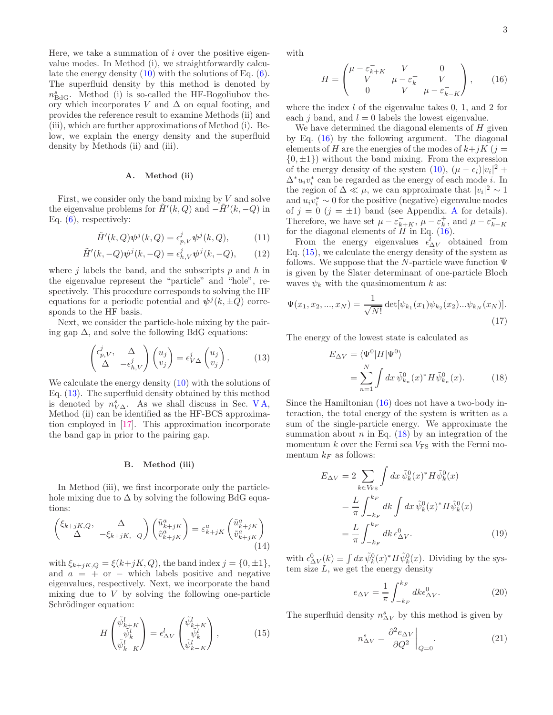Here, we take a summation of  $i$  over the positive eigenvalue modes. In Method (i), we straightforwardly calculate the energy density  $(10)$  with the solutions of Eq.  $(6)$ . The superfluid density by this method is denoted by  $n_{\text{BdG}}^s$ . Method (i) is so-called the HF-Bogoliubov theory which incorporates V and  $\Delta$  on equal footing, and provides the reference result to examine Methods (ii) and (iii), which are further approximations of Method (i). Below, we explain the energy density and the superfluid density by Methods (ii) and (iii).

### A. Method (ii)

First, we consider only the band mixing by  $V$  and solve the eigenvalue problems for  $\tilde{H}'(k, Q)$  and  $-\tilde{H}'(k, -Q)$  in Eq. [\(6\)](#page-1-4), respectively:

$$
\tilde{H}'(k,Q)\psi^{j}(k,Q) = \epsilon_{p,V}^{j}\psi^{j}(k,Q),\tag{11}
$$

$$
\tilde{H}'(k, -Q)\psi^j(k, -Q) = \epsilon^j_{h,V}\psi^j(k, -Q), \qquad (12)
$$

where  $i$  labels the band, and the subscripts  $p$  and  $h$  in the eigenvalue represent the "particle" and "hole", respectively. This procedure corresponds to solving the HF equations for a periodic potential and  $\psi^{j}(k, \pm Q)$  corresponds to the HF basis.

Next, we consider the particle-hole mixing by the pairing gap  $\Delta$ , and solve the following BdG equations:

$$
\begin{pmatrix} \epsilon_{p,V}^j, & \Delta \\ \Delta & -\epsilon_{h,V}^j \end{pmatrix} \begin{pmatrix} u_j \\ v_j \end{pmatrix} = \epsilon_{V\Delta}^j \begin{pmatrix} u_j \\ v_j \end{pmatrix}.
$$
 (13)

We calculate the energy density  $(10)$  with the solutions of Eq. [\(13\)](#page-2-0). The superfluid density obtained by this method is denoted by  $n_{V\Delta}^s$ . As we shall discuss in Sec. VA, Method (ii) can be identified as the HF-BCS approximation employed in [\[17\]](#page-7-4). This approximation incorporate the band gap in prior to the pairing gap.

#### B. Method (iii)

In Method (iii), we first incorporate only the particlehole mixing due to  $\Delta$  by solving the following BdG equations:

$$
\begin{pmatrix}\n\xi_{k+jK,Q}, & \Delta \\
\Delta & -\xi_{k+jK,-Q}\n\end{pmatrix}\n\begin{pmatrix}\n\tilde{u}_{k+jK}^a \\
\tilde{v}_{k+jK}^a\n\end{pmatrix} = \varepsilon_{k+jK}^a \begin{pmatrix}\n\tilde{u}_{k+jK}^a \\
\tilde{v}_{k+jK}^a\n\end{pmatrix}
$$
\n(14)

with  $\xi_{k+jK,Q} = \xi(k+jK,Q)$ , the band index  $j = \{0,\pm 1\}$ , and  $a = +$  or  $-$  which labels positive and negative eigenvalues, respectively. Next, we incorporate the band mixing due to  $V$  by solving the following one-particle Schrödinger equation:

$$
H\begin{pmatrix} \tilde{\psi}_{k+K}^l\\ \tilde{\psi}_k^l\\ \tilde{\psi}_{k-K}^l \end{pmatrix} = \epsilon_{\Delta V}^l \begin{pmatrix} \tilde{\psi}_{k+K}^l\\ \tilde{\psi}_k^l\\ \tilde{\psi}_{k-K}^l \end{pmatrix},
$$
(15)

with

<span id="page-2-1"></span>
$$
H = \begin{pmatrix} \mu - \varepsilon_{k+K}^- & V & 0 \\ V & \mu - \varepsilon_k^+ & V \\ 0 & V & \mu - \varepsilon_{k-K}^- \end{pmatrix}, \qquad (16)
$$

where the index  $l$  of the eigenvalue takes 0, 1, and 2 for each j band, and  $l = 0$  labels the lowest eigenvalue.

We have determined the diagonal elements of  $H$  given by Eq. [\(16\)](#page-2-1) by the following argument. The diagonal elements of H are the energies of the modes of  $k+jK$  (j =  $\{0, \pm 1\}$  without the band mixing. From the expression of the energy density of the system [\(10\)](#page-1-7),  $(\mu - \epsilon_i)|v_i|^2$  +  $\Delta^*u_iv_i^*$  can be regarded as the energy of each mode  $i.$  In the region of  $\Delta \ll \mu$ , we can approximate that  $|v_i|^2 \sim 1$ and  $u_i v_i^* \sim 0$  for the positive (negative) eigenvalue modes of  $j = 0$   $(j = \pm 1)$  band (see [A](#page-7-12)ppendix. A for details). Therefore, we have set  $\mu - \varepsilon_{k+K}^-$ ,  $\mu - \varepsilon_k^+$ , and  $\mu - \varepsilon_{k-K}^-$ <br>for the diagonal elements of H in Eq. [\(16\)](#page-2-1).

<span id="page-2-5"></span><span id="page-2-4"></span>From the energy eigenvalues  $\epsilon_{\Delta V}^{l}$  obtained from Eq.  $(15)$ , we calculate the energy density of the system as follows. We suppose that the N-particle wave function  $\Psi$ is given by the Slater determinant of one-particle Bloch waves  $\psi_k$  with the quasimomentum k as:

$$
\Psi(x_1, x_2, ..., x_N) = \frac{1}{\sqrt{N!}} \det[\psi_{k_1}(x_1)\psi_{k_2}(x_2)...\psi_{k_N}(x_N)].
$$
\n(17)

<span id="page-2-0"></span>The energy of the lowest state is calculated as

<span id="page-2-3"></span>
$$
E_{\Delta V} = \langle \Psi^0 | H | \Psi^0 \rangle
$$
  
= 
$$
\sum_{n=1}^{N} \int dx \, \tilde{\psi}_{k_n}^0(x)^* H \tilde{\psi}_{k_n}^0(x).
$$
 (18)

Since the Hamiltonian [\(16\)](#page-2-1) does not have a two-body interaction, the total energy of the system is written as a sum of the single-particle energy. We approximate the summation about  $n$  in Eq. [\(18\)](#page-2-3) by an integration of the momentum  $k$  over the Fermi sea  $V_{\text{FS}}$  with the Fermi momentum  $k_F$  as follows:

$$
E_{\Delta V} = 2 \sum_{k \in V_{\rm FS}} \int dx \, \tilde{\psi}_k^0(x)^* H \tilde{\psi}_k^0(x)
$$
  

$$
= \frac{L}{\pi} \int_{-k_F}^{k_F} dk \int dx \, \tilde{\psi}_k^0(x)^* H \tilde{\psi}_k^0(x)
$$
  

$$
= \frac{L}{\pi} \int_{-k_F}^{k_F} dk \, \epsilon_{\Delta V}^0.
$$
 (19)

<span id="page-2-6"></span>with  $\epsilon_{\Delta V}^0(k) \equiv \int dx \, \tilde{\psi}_k^0(x)^* H \tilde{\psi}_k^0(x)$ . Dividing by the system size  $L$ , we get the energy density

$$
e_{\Delta V} = \frac{1}{\pi} \int_{-k_F}^{k_F} dk \epsilon_{\Delta V}^0.
$$
 (20)

<span id="page-2-2"></span>The superfluid density  $n^s_{\Delta V}$  by this method is given by

$$
n_{\Delta V}^s = \frac{\partial^2 e_{\Delta V}}{\partial Q^2}\bigg|_{Q=0}.\tag{21}
$$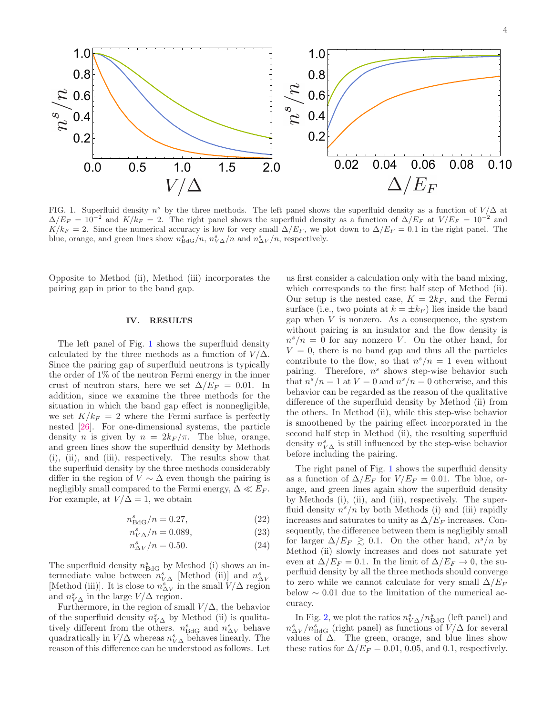

<span id="page-3-1"></span>FIG. 1. Superfluid density  $n^s$  by the three methods. The left panel shows the superfluid density as a function of  $V/\Delta$  at  $\Delta/E_F = 10^{-2}$  and  $K/k_F = 2$ . The right panel shows the superfluid density as a function of  $\Delta/E_F$  at  $V/E_F = 10^{-2}$  and  $K/k_F = 2$ . Since the numerical accuracy is low for very small  $\Delta/E_F$ , we plot down to  $\Delta/E_F = 0.1$  in the right panel. The blue, orange, and green lines show  $n_{\text{BdG}}^s/n$ ,  $n_{\text{VA}}^s/n$  and  $n_{\text{AV}}^s/n$ , respectively.

Opposite to Method (ii), Method (iii) incorporates the pairing gap in prior to the band gap.

#### <span id="page-3-0"></span>IV. RESULTS

The left panel of Fig. [1](#page-3-1) shows the superfluid density calculated by the three methods as a function of  $V/\Delta$ . Since the pairing gap of superfluid neutrons is typically the order of 1% of the neutron Fermi energy in the inner crust of neutron stars, here we set  $\Delta/E_F = 0.01$ . In addition, since we examine the three methods for the situation in which the band gap effect is nonnegligible, we set  $K/k_F = 2$  where the Fermi surface is perfectly nested [\[26](#page-7-13)]. For one-dimensional systems, the particle density *n* is given by  $n = 2k_F/\pi$ . The blue, orange, and green lines show the superfluid density by Methods (i), (ii), and (iii), respectively. The results show that the superfluid density by the three methods considerably differ in the region of  $V \sim \Delta$  even though the pairing is negligibly small compared to the Fermi energy,  $\Delta \ll E_F$ . For example, at  $V/\Delta = 1$ , we obtain

$$
n_{\text{BdG}}^s/n = 0.27,\tag{22}
$$

$$
n_{V\Delta}^s/n = 0.089,\t(23)
$$

$$
n_{\Delta V}^s/n = 0.50.\t(24)
$$

The superfluid density  $n_{\text{BdG}}^s$  by Method (i) shows an intermediate value between  $n_{V\Delta}^s$  [Method (ii)] and  $n_{\Delta V}^s$ [Method (iii)]. It is close to  $n_{\Delta V}^s$  in the small  $V/\Delta$  region and  $n_{V\Delta}^s$  in the large  $V/\Delta$  region.

Furthermore, in the region of small  $V/\Delta$ , the behavior of the superfluid density  $n_{V\Delta}^s$  by Method (ii) is qualitatively different from the others.  $n_{\text{BdG}}^s$  and  $n_{\Delta V}^s$  behave quadratically in  $V/\Delta$  whereas  $n_{V\Delta}^s$  behaves linearly. The reason of this difference can be understood as follows. Let

us first consider a calculation only with the band mixing, which corresponds to the first half step of Method (ii). Our setup is the nested case,  $K = 2k_F$ , and the Fermi surface (i.e., two points at  $k = \pm k_F$ ) lies inside the band gap when  $V$  is nonzero. As a consequence, the system without pairing is an insulator and the flow density is  $n^s/n = 0$  for any nonzero V. On the other hand, for  $V = 0$ , there is no band gap and thus all the particles contribute to the flow, so that  $n^{s}/n = 1$  even without pairing. Therefore,  $n^s$  shows step-wise behavior such that  $n^{s}/n = 1$  at  $V = 0$  and  $n^{s}/n = 0$  otherwise, and this behavior can be regarded as the reason of the qualitative difference of the superfluid density by Method (ii) from the others. In Method (ii), while this step-wise behavior is smoothened by the pairing effect incorporated in the second half step in Method (ii), the resulting superfluid density  $n^s_{V\Delta}$  is still influenced by the step-wise behavior before including the pairing.

<span id="page-3-3"></span><span id="page-3-2"></span>The right panel of Fig. [1](#page-3-1) shows the superfluid density as a function of  $\Delta/E_F$  for  $V/E_F = 0.01$ . The blue, orange, and green lines again show the superfluid density by Methods (i), (ii), and (iii), respectively. The superfluid density  $n^{s}/n$  by both Methods (i) and (iii) rapidly increases and saturates to unity as  $\Delta/E_F$  increases. Consequently, the difference between them is negligibly small for larger  $\Delta/E_F \gtrsim 0.1$ . On the other hand,  $n^s/n$  by Method (ii) slowly increases and does not saturate yet even at  $\Delta/E_F = 0.1$ . In the limit of  $\Delta/E_F \rightarrow 0$ , the superfluid density by all the three methods should converge to zero while we cannot calculate for very small  $\Delta/E_F$ below  $\sim 0.01$  due to the limitation of the numerical accuracy.

In Fig. [2,](#page-4-2) we plot the ratios  $n_{V\Delta}^s/n_{\text{BdG}}^s$  (left panel) and  $n_{\Delta V}^s/n_{\rm BdG}^s$  (right panel) as functions of  $V/\Delta$  for several values of  $\Delta$ . The green, orange, and blue lines show these ratios for  $\Delta/E_F = 0.01, 0.05,$  and 0.1, respectively.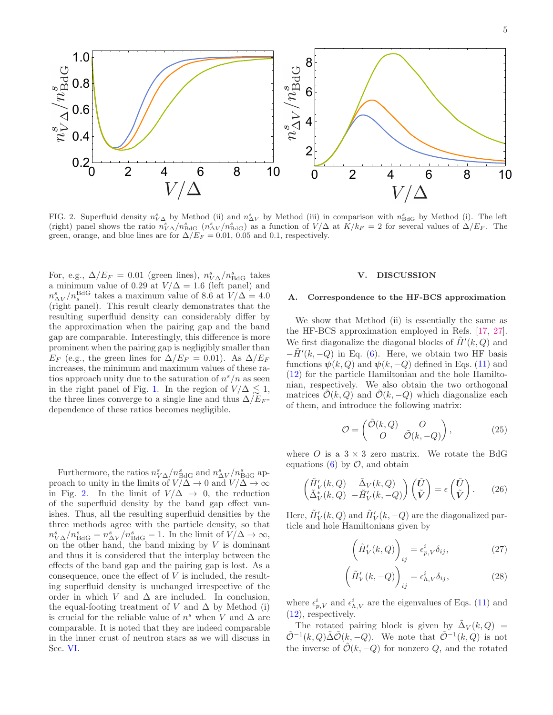

<span id="page-4-2"></span>FIG. 2. Superfluid density  $n_{V\Delta}^s$  by Method (ii) and  $n_{\Delta V}^s$  by Method (iii) in comparison with  $n_{BdG}^s$  by Method (i). The left (right) panel shows the ratio  $n_{V\Delta}^s/n_{\text{BdG}}^s$  ( $n_{\Delta V}^s/n_{\text{BdG}}^s$ ) as a function of  $V/\Delta$  at  $K/k_F = 2$  for several values of  $\Delta/E_F$ . The green, orange, and blue lines are for  $\Delta/E_F = 0.01$ , 0.05 and 0.1, respectively.

For, e.g.,  $\Delta/E_F = 0.01$  (green lines),  $n_{V\Delta}^s/n_{\text{BdG}}^s$  takes a minimum value of 0.29 at  $V/\Delta = 1.6$  (left panel) and  $n_{\Delta V}^{s}/n_{s}^{\text{BdG}}$  takes a maximum value of 8.6 at  $V/\Delta = 4.0$ (right panel). This result clearly demonstrates that the resulting superfluid density can considerably differ by the approximation when the pairing gap and the band gap are comparable. Interestingly, this difference is more prominent when the pairing gap is negligibly smaller than  $E_F$  (e.g., the green lines for  $\Delta/E_F = 0.01$ ). As  $\Delta/E_F$ increases, the minimum and maximum values of these ratios approach unity due to the saturation of  $n^{s}/n$  as seen in the right panel of Fig. [1.](#page-3-1) In the region of  $V/\Delta \leq 1$ , the three lines converge to a single line and thus  $\Delta/E_F$ dependence of these ratios becomes negligible.

Furthermore, the ratios  $n_{V\Delta}^s/n_{\text{BdG}}^s$  and  $n_{\Delta V}^s/n_{\text{BdG}}^s$  approach to unity in the limits of  $V/\Delta \to 0$  and  $V/\Delta \to \infty$ in Fig. [2.](#page-4-2) In the limit of  $V/\Delta \rightarrow 0$ , the reduction of the superfluid density by the band gap effect vanishes. Thus, all the resulting superfluid densities by the three methods agree with the particle density, so that  $n_{V\Delta}^s/n_{\text{BdG}}^s = n_{\Delta V}^s/n_{\text{BdG}}^s = 1$ . In the limit of  $V/\Delta \to \infty$ , on the other hand, the band mixing by  $V$  is dominant and thus it is considered that the interplay between the effects of the band gap and the pairing gap is lost. As a consequence, once the effect of  $V$  is included, the resulting superfluid density is unchanged irrespective of the order in which V and  $\Delta$  are included. In conclusion, the equal-footing treatment of V and  $\Delta$  by Method (i) is crucial for the reliable value of  $n^s$  when V and  $\Delta$  are comparable. It is noted that they are indeed comparable in the inner crust of neutron stars as we will discuss in Sec. [VI.](#page-5-0)

### <span id="page-4-0"></span>V. DISCUSSION

## <span id="page-4-1"></span>A. Correspondence to the HF-BCS approximation

We show that Method (ii) is essentially the same as the HF-BCS approximation employed in Refs. [\[17,](#page-7-4) [27\]](#page-7-14). We first diagonalize the diagonal blocks of  $\tilde{H}'(k, Q)$  and  $-\tilde{H}'(k, -Q)$  in Eq. [\(6\)](#page-1-4). Here, we obtain two HF basis functions  $\psi(k, Q)$  and  $\psi(k, -Q)$  defined in Eqs. [\(11\)](#page-2-4) and [\(12\)](#page-2-5) for the particle Hamiltonian and the hole Hamiltonian, respectively. We also obtain the two orthogonal matrices  $\mathcal{O}(k, Q)$  and  $\mathcal{O}(k, -Q)$  which diagonalize each of them, and introduce the following matrix:

$$
\mathcal{O} = \begin{pmatrix} \tilde{\mathcal{O}}(k, Q) & O \\ O & \tilde{\mathcal{O}}(k, -Q) \end{pmatrix}, \tag{25}
$$

where O is a  $3 \times 3$  zero matrix. We rotate the BdG equations  $(6)$  by  $\mathcal{O}$ , and obtain

$$
\begin{pmatrix}\n\tilde{H}'_V(k, Q) & \tilde{\Delta}_V(k, Q) \\
\tilde{\Delta}_V^*(k, Q) & -\tilde{H}'_V(k, -Q)\n\end{pmatrix}\n\begin{pmatrix}\n\tilde{U} \\
\tilde{V}\n\end{pmatrix} = \epsilon \begin{pmatrix}\n\tilde{U} \\
\tilde{V}\n\end{pmatrix}.
$$
\n(26)

Here,  $\tilde{H}'_V(k, Q)$  and  $\tilde{H}'_V(k, -Q)$  are the diagonalized particle and hole Hamiltonians given by

$$
\left(\tilde{H}'_V(k,Q)\right)_{ij} = \epsilon^i_{p,V}\delta_{ij},\tag{27}
$$

$$
\left(\tilde{H}'_V(k,-Q)\right)_{ij} = \epsilon^i_{h,V}\delta_{ij},\tag{28}
$$

where  $\epsilon_{p,V}^i$  and  $\epsilon_{h,V}^i$  are the eigenvalues of Eqs. [\(11\)](#page-2-4) and [\(12\)](#page-2-5), respectively.

The rotated pairing block is given by  $\tilde{\Delta}_V(k,Q)$  =  $\tilde{\mathcal{O}}^{-1}(k, Q) \tilde{\Delta} \tilde{\mathcal{O}}(k, -Q)$ . We note that  $\tilde{\mathcal{O}}^{-1}(k, Q)$  is not the inverse of  $\tilde{\mathcal{O}}(k, -Q)$  for nonzero Q, and the rotated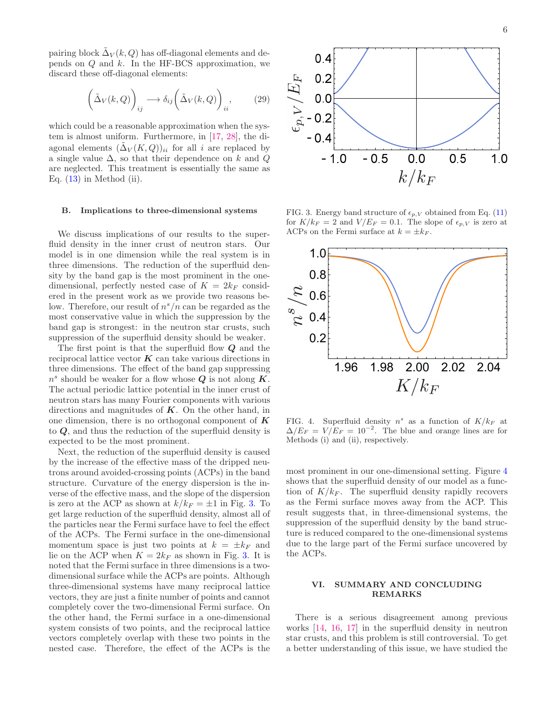pairing block  $\tilde{\Delta}_V(k,Q)$  has off-diagonal elements and depends on  $Q$  and  $k$ . In the HF-BCS approximation, we discard these off-diagonal elements:

$$
\left(\tilde{\Delta}_V(k,Q)\right)_{ij} \longrightarrow \delta_{ij}\left(\tilde{\Delta}_V(k,Q)\right)_{ii},\tag{29}
$$

which could be a reasonable approximation when the system is almost uniform. Furthermore, in [\[17,](#page-7-4) [28\]](#page-7-15), the diagonal elements  $(\tilde{\Delta}_V(K,Q))_{ii}$  for all i are replaced by a single value  $\Delta$ , so that their dependence on k and Q are neglected. This treatment is essentially the same as Eq.  $(13)$  in Method  $(ii)$ .

#### B. Implications to three-dimensional systems

We discuss implications of our results to the superfluid density in the inner crust of neutron stars. Our model is in one dimension while the real system is in three dimensions. The reduction of the superfluid density by the band gap is the most prominent in the onedimensional, perfectly nested case of  $K = 2k_F$  considered in the present work as we provide two reasons below. Therefore, our result of  $n^{s}/n$  can be regarded as the most conservative value in which the suppression by the band gap is strongest: in the neutron star crusts, such suppression of the superfluid density should be weaker.

The first point is that the superfluid flow  $Q$  and the reciprocal lattice vector  $K$  can take various directions in three dimensions. The effect of the band gap suppressing  $n<sup>s</sup>$  should be weaker for a flow whose  $Q$  is not along  $K$ . The actual periodic lattice potential in the inner crust of neutron stars has many Fourier components with various directions and magnitudes of  $K$ . On the other hand, in one dimension, there is no orthogonal component of  $\boldsymbol{K}$ to Q, and thus the reduction of the superfluid density is expected to be the most prominent.

Next, the reduction of the superfluid density is caused by the increase of the effective mass of the dripped neutrons around avoided-crossing points (ACPs) in the band structure. Curvature of the energy dispersion is the inverse of the effective mass, and the slope of the dispersion is zero at the ACP as shown at  $k/k_F = \pm 1$  in Fig. [3.](#page-5-1) To get large reduction of the superfluid density, almost all of the particles near the Fermi surface have to feel the effect of the ACPs. The Fermi surface in the one-dimensional momentum space is just two points at  $k = \pm k_F$  and lie on the ACP when  $K = 2k_F$  as shown in Fig. [3.](#page-5-1) It is noted that the Fermi surface in three dimensions is a twodimensional surface while the ACPs are points. Although three-dimensional systems have many reciprocal lattice vectors, they are just a finite number of points and cannot completely cover the two-dimensional Fermi surface. On the other hand, the Fermi surface in a one-dimensional system consists of two points, and the reciprocal lattice vectors completely overlap with these two points in the nested case. Therefore, the effect of the ACPs is the



<span id="page-5-1"></span>FIG. 3. Energy band structure of  $\epsilon_{p,V}$  obtained from Eq. [\(11\)](#page-2-4) for  $K/k_F = 2$  and  $V/E_F = 0.1$ . The slope of  $\epsilon_{p,V}$  is zero at ACPs on the Fermi surface at  $k = \pm k_F$ .



<span id="page-5-2"></span>FIG. 4. Superfluid density  $n^s$  as a function of  $K/k_F$  at  $\Delta/E_F = V/E_F = 10^{-2}$ . The blue and orange lines are for Methods (i) and (ii), respectively.

most prominent in our one-dimensional setting. Figure [4](#page-5-2) shows that the superfluid density of our model as a function of  $K/k_F$ . The superfluid density rapidly recovers as the Fermi surface moves away from the ACP. This result suggests that, in three-dimensional systems, the suppression of the superfluid density by the band structure is reduced compared to the one-dimensional systems due to the large part of the Fermi surface uncovered by the ACPs.

### <span id="page-5-0"></span>VI. SUMMARY AND CONCLUDING REMARKS

There is a serious disagreement among previous works [\[14](#page-7-0), [16,](#page-7-3) [17\]](#page-7-4) in the superfluid density in neutron star crusts, and this problem is still controversial. To get a better understanding of this issue, we have studied the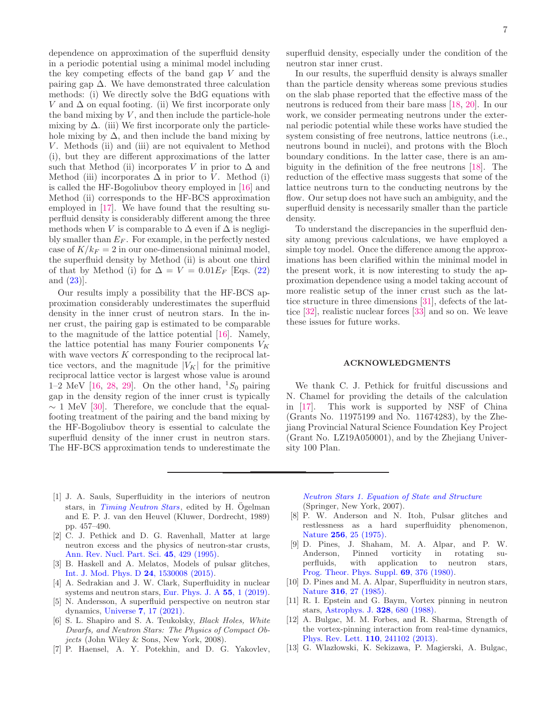dependence on approximation of the superfluid density in a periodic potential using a minimal model including the key competing effects of the band gap  $V$  and the pairing gap  $\Delta$ . We have demonstrated three calculation methods: (i) We directly solve the BdG equations with V and  $\Delta$  on equal footing. (ii) We first incorporate only the band mixing by  $V$ , and then include the particle-hole mixing by  $\Delta$ . (iii) We first incorporate only the particlehole mixing by  $\Delta$ , and then include the band mixing by  $V$ . Methods (ii) and (iii) are not equivalent to Method (i), but they are different approximations of the latter such that Method (ii) incorporates V in prior to  $\Delta$  and Method (iii) incorporates  $\Delta$  in prior to V. Method (i) is called the HF-Bogoliubov theory employed in [\[16](#page-7-3)] and Method (ii) corresponds to the HF-BCS approximation employed in [\[17\]](#page-7-4). We have found that the resulting superfluid density is considerably different among the three methods when V is comparable to  $\Delta$  even if  $\Delta$  is negligibly smaller than  $E_F$ . For example, in the perfectly nested case of  $K/k_F = 2$  in our one-dimensional minimal model, the superfluid density by Method (ii) is about one third of that by Method (i) for  $\Delta = V = 0.01E_F$  [Eqs. [\(22\)](#page-3-2) and [\(23\)](#page-3-3)].

Our results imply a possibility that the HF-BCS approximation considerably underestimates the superfluid density in the inner crust of neutron stars. In the inner crust, the pairing gap is estimated to be comparable to the magnitude of the lattice potential [\[16\]](#page-7-3). Namely, the lattice potential has many Fourier components  $V_K$ with wave vectors K corresponding to the reciprocal lattice vectors, and the magnitude  $|V_K|$  for the primitive reciprocal lattice vector is largest whose value is around 1–2 MeV [\[16](#page-7-3), [28](#page-7-15), [29](#page-7-16)]. On the other hand,  ${}^{1}S_0$  pairing gap in the density region of the inner crust is typically  $\sim 1$  MeV [\[30](#page-7-17)]. Therefore, we conclude that the equalfooting treatment of the pairing and the band mixing by the HF-Bogoliubov theory is essential to calculate the superfluid density of the inner crust in neutron stars. The HF-BCS approximation tends to underestimate the

superfluid density, especially under the condition of the neutron star inner crust.

In our results, the superfluid density is always smaller than the particle density whereas some previous studies on the slab phase reported that the effective mass of the neutrons is reduced from their bare mass [\[18,](#page-7-5) [20\]](#page-7-2). In our work, we consider permeating neutrons under the external periodic potential while these works have studied the system consisting of free neutrons, lattice neutrons (i.e., neutrons bound in nuclei), and protons with the Bloch boundary conditions. In the latter case, there is an ambiguity in the definition of the free neutrons [\[18](#page-7-5)]. The reduction of the effective mass suggests that some of the lattice neutrons turn to the conducting neutrons by the flow. Our setup does not have such an ambiguity, and the superfluid density is necessarily smaller than the particle density.

To understand the discrepancies in the superfluid density among previous calculations, we have employed a simple toy model. Once the difference among the approximations has been clarified within the minimal model in the present work, it is now interesting to study the approximation dependence using a model taking account of more realistic setup of the inner crust such as the lattice structure in three dimensions [\[31\]](#page-7-18), defects of the lattice [\[32](#page-7-19)], realistic nuclear forces [\[33](#page-7-20)] and so on. We leave these issues for future works.

# ACKNOWLEDGMENTS

We thank C. J. Pethick for fruitful discussions and N. Chamel for providing the details of the calculation in [\[17](#page-7-4)]. This work is supported by NSF of China (Grants No. 11975199 and No. 11674283), by the Zhejiang Provincial Natural Science Foundation Key Project (Grant No. LZ19A050001), and by the Zhejiang University 100 Plan.

- <span id="page-6-0"></span>[1] J. A. Sauls, Superfluidity in the interiors of neutron stars, in *[Timing Neutron Stars](https://doi.org/10.1007/978-94-009-2273-0_43)*, edited by H. Ogelman and E. P. J. van den Heuvel (Kluwer, Dordrecht, 1989) pp. 457–490.
- [2] C. J. Pethick and D. G. Ravenhall, Matter at large neutron excess and the physics of neutron-star crusts, [Ann. Rev. Nucl. Part. Sci.](https://doi.org/10.1146/annurev.ns.45.120195.002241) 45, 429 (1995).
- [3] B. Haskell and A. Melatos, Models of pulsar glitches, [Int. J. Mod. Phys. D](https://doi.org/10.1142/S0218271815300086) 24, 1530008 (2015).
- [4] A. Sedrakian and J. W. Clark, Superfluidity in nuclear systems and neutron stars, [Eur. Phys. J. A](https://doi.org/10.1140/epja/i2019-12863-6) 55, 1 (2019).
- <span id="page-6-1"></span>[5] N. Andersson, A superfluid perspective on neutron star dynamics, Universe 7[, 17 \(2021\).](https://doi.org/10.3390/universe7010017)
- <span id="page-6-2"></span>[6] S. L. Shapiro and S. A. Teukolsky, *Black Holes, White Dwarfs, and Neutron Stars: The Physics of Compact Objects* (John Wiley & Sons, New York, 2008).
- <span id="page-6-3"></span>[7] P. Haensel, A. Y. Potekhin, and D. G. Yakovlev,

*[Neutron Stars 1. Equation of State and Structure](https://doi.org/10.1007/978-0-387-47301-7)* (Springer, New York, 2007).

- <span id="page-6-4"></span>[8] P. W. Anderson and N. Itoh, Pulsar glitches and restlessness as a hard superfluidity phenomenon, Nature 256[, 25 \(1975\).](https://doi.org/10.1038/256025a0)
- [9] D. Pines, J. Shaham, M. A. Alpar, and P. W. Anderson, Pinned vorticity in rotating superfluids, with application to neutron stars. with application to neutron stars, [Prog. Theor. Phys. Suppl.](https://doi.org/10.1143/PTP.69.376) 69, 376 (1980).
- [10] D. Pines and M. A. Alpar, Superfluidity in neutron stars, Nature 316[, 27 \(1985\).](https://doi.org/10.1038/316027a0)
- [11] R. I. Epstein and G. Baym, Vortex pinning in neutron stars, [Astrophys. J.](https://doi.org/10.1086/166325) 328, 680 (1988).
- [12] A. Bulgac, M. M. Forbes, and R. Sharma, Strength of the vortex-pinning interaction from real-time dynamics, [Phys. Rev. Lett.](https://doi.org/10.1103/PhysRevLett.110.241102) 110, 241102 (2013).
- <span id="page-6-5"></span>[13] G. Wlazłowski, K. Sekizawa, P. Magierski, A. Bulgac,